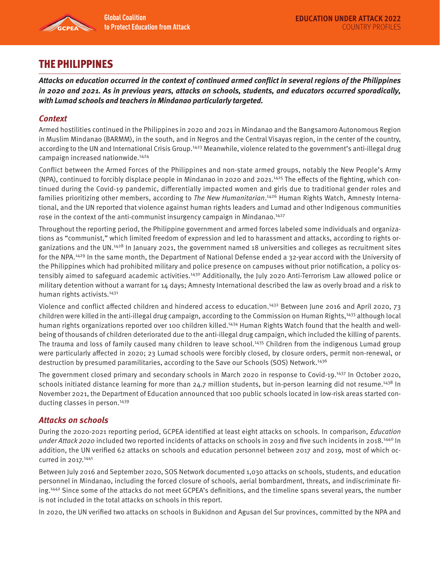

# THE PHILIPPINES

**Attacks on education occurred in the context of continued armed conflict in several regions of the Philippines in 2020 and 2021. As in previous years, attacks on schools, students, and educators occurred sporadically, with Lumad schools and teachers in Mindanao particularly targeted.** 

## **Context**

Armed hostilities continued in the Philippines in 2020 and 2021 in Mindanao and the Bangsamoro Autonomous Region in Muslim Mindanao (BARMM), in the south, and in Negros and the Central Visayas region, in the center of the country, according to the UN and International Crisis Group.1423 Meanwhile, violence related to the government's anti-illegal drug campaign increased nationwide.1424

Conflict between the Armed Forces of the Philippines and non-state armed groups, notably the New People's Army  $(NPA)$ , continued to forcibly displace people in Mindanao in 2020 and 2021.<sup>1425</sup> The effects of the fighting, which continued during the Covid-19 pandemic, differentially impacted women and girls due to traditional gender roles and families prioritizing other members, according to *The New Humanitarian*.<sup>1426</sup> Human Rights Watch, Amnesty International, and the UN reported that violence against human rights leaders and Lumad and other Indigenous communities rose in the context of the anti-communist insurgency campaign in Mindanao.<sup>1427</sup>

Throughout the reporting period, the Philippine government and armed forces labeled some individuals and organizations as "communist," which limited freedom of expression and led to harassment and attacks, according to rights organizations and the UN.1428 In January 2021, the government named 18 universities and colleges as recruitment sites for the NPA.1429 In the same month, the Department of National Defense ended a 32-year accord with the University of the Philippines which had prohibited military and police presence on campuses without prior notification, a policy ostensibly aimed to safeguard academic activities.<sup>1430</sup> Additionally, the July 2020 Anti-Terrorism Law allowed police or military detention without a warrant for 14 days; Amnesty International described the law as overly broad and a risk to human rights activists.<sup>1431</sup>

Violence and conflict affected children and hindered access to education.1432 Between June 2016 and April 2020, 73 children were killed in the anti-illegal drug campaign, according to the Commission on Human Rights,<sup>1433</sup> although local human rights organizations reported over 100 children killed.<sup>1434</sup> Human Rights Watch found that the health and wellbeing of thousands of children deteriorated due to the anti-illegal drug campaign, which included the killing of parents. The trauma and loss of family caused many children to leave school.<sup>1435</sup> Children from the indigenous Lumad group were particularly affected in 2020; 23 Lumad schools were forcibly closed, by closure orders, permit non-renewal, or destruction by presumed paramilitaries, according to the Save our Schools (SOS) Network.<sup>1436</sup>

The government closed primary and secondary schools in March 2020 in response to Covid-19.<sup>1437</sup> In October 2020, schools initiated distance learning for more than 24.7 million students, but in-person learning did not resume.<sup>1438</sup> In November 2021, the Department of Education announced that 100 public schools located in low-risk areas started conducting classes in person.<sup>1439</sup>

#### **Attacks on schools**

During the 2020-2021 reporting period, GCPEA identified at least eight attacks on schools. In comparison, Education under Attack 2020 included two reported incidents of attacks on schools in 2019 and five such incidents in 2018.<sup>1440</sup> In addition, the UN verified 62 attacks on schools and education personnel between 2017 and 2019, most of which occurred in 2017.<sup>1441</sup>

Between July 2016 and September 2020, SOS Network documented 1,030 attacks on schools, students, and education personnel in Mindanao, including the forced closure of schools, aerial bombardment, threats, and indiscriminate firing.<sup>1442</sup> Since some of the attacks do not meet GCPEA's definitions, and the timeline spans several years, the number is not included in the total attacks on schools in this report.

In 2020, the UN verified two attacks on schools in Bukidnon and Agusan del Sur provinces, committed by the NPA and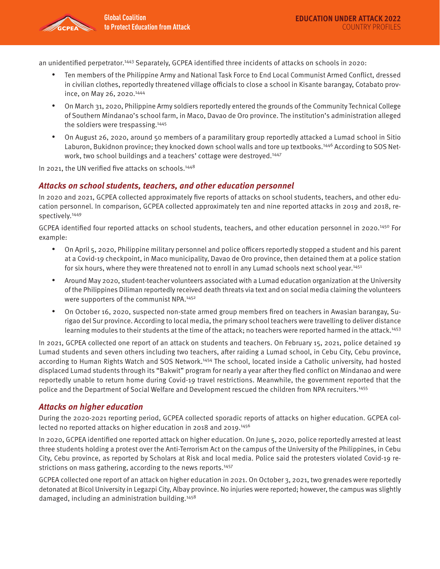

an unidentified perpetrator.<sup>1443</sup> Separately, GCPEA identified three incidents of attacks on schools in 2020:

- Ten members of the Philippine Army and National Task Force to End Local Communist Armed Conflict, dressed in civilian clothes, reportedly threatened village officials to close a school in Kisante barangay, Cotabato province, on May 26, 2020.1444
- On March 31, 2020, Philippine Army soldiers reportedly entered the grounds of the Community Technical College of Southern Mindanao's school farm, in Maco, Davao de Oro province. The institution's administration alleged the soldiers were trespassing.1445
- On August 26, 2020, around 50 members of a paramilitary group reportedly attacked a Lumad school in Sitio Laburon, Bukidnon province; they knocked down school walls and tore up textbooks.<sup>1446</sup> According to SOS Network, two school buildings and a teachers' cottage were destroyed.<sup>1447</sup>

In 2021, the UN verified five attacks on schools.<sup>1448</sup>

### **Attacks on school students, teachers, and other education personnel**

In 2020 and 2021, GCPEA collected approximately five reports of attacks on school students, teachers, and other education personnel. In comparison, GCPEA collected approximately ten and nine reported attacks in 2019 and 2018, respectively.1449

GCPEA identified four reported attacks on school students, teachers, and other education personnel in 2020.<sup>1450</sup> For example:

- On April 5, 2020, Philippine military personnel and police officers reportedly stopped a student and his parent at a Covid-19 checkpoint, in Maco municipality, Davao de Oro province, then detained them at a police station for six hours, where they were threatened not to enroll in any Lumad schools next school year.<sup>1451</sup>
- Around May 2020, student-teacher volunteers associated with a Lumad education organization at the University of the Philippines Diliman reportedly received death threats via text and on social media claiming the volunteers were supporters of the communist NPA.<sup>1452</sup>
- On October 16, 2020, suspected non-state armed group members fired on teachers in Awasian barangay, Surigao del Sur province. According to local media, the primary school teachers were travelling to deliver distance learning modules to their students at the time of the attack; no teachers were reported harmed in the attack.<sup>1453</sup>

In 2021, GCPEA collected one report of an attack on students and teachers. On February 15, 2021, police detained 19 Lumad students and seven others including two teachers, after raiding a Lumad school, in Cebu City, Cebu province, according to Human Rights Watch and SOS Network.1454 The school, located inside a Catholic university, had hosted displaced Lumad students through its "Bakwit" program for nearly a year after they fled conflict on Mindanao and were reportedly unable to return home during Covid-19 travel restrictions. Meanwhile, the government reported that the police and the Department of Social Welfare and Development rescued the children from NPA recruiters.1455

#### **Attacks on higher education**

During the 2020-2021 reporting period, GCPEA collected sporadic reports of attacks on higher education. GCPEA collected no reported attacks on higher education in 2018 and 2019.<sup>1456</sup>

In 2020, GCPEA identified one reported attack on higher education. On June 5, 2020, police reportedly arrested at least three students holding a protest over the Anti-Terrorism Act on the campus of the University of the Philippines, in Cebu City, Cebu province, as reported by Scholars at Risk and local media. Police said the protesters violated Covid-19 restrictions on mass gathering, according to the news reports.<sup>1457</sup>

GCPEA collected one report of an attack on higher education in 2021. On October 3, 2021, two grenades were reportedly detonated at Bicol University in Legazpi City, Albay province. No injuries were reported; however, the campus was slightly damaged, including an administration building.1458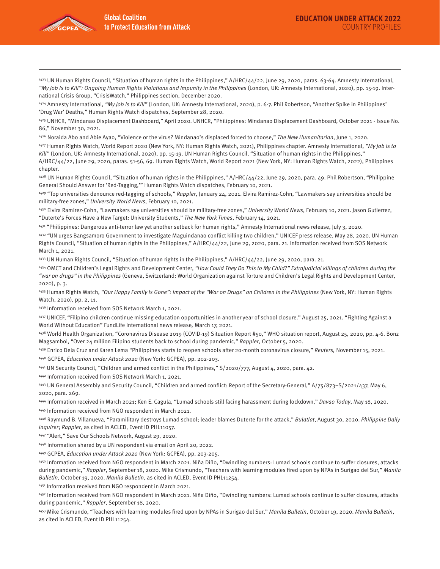

1423 UN Human Rights Council, "Situation of human rights in the Philippines," A/HRC/44/22, June 29, 2020, paras. 63-64. Amnesty International, "My Job Is to Kill": Ongoing Human Rights Violations and Impunity in the Philippines (London, UK: Amnesty International, 2020), pp. 15-19. International Crisis Group, "CrisisWatch," Philippines section, December 2020.

1424 Amnesty International, "My Job Is to Kill" (London, UK: Amnesty International, 2020), p. 6-7. Phil Robertson, "Another Spike in Philippines' 'Drug War' Deaths," Human Rights Watch dispatches, September 28, 2020.

1425 UNHCR, "Mindanao Displacement Dashboard," April 2020. UNHCR, "Philippines: Mindanao Displacement Dashboard, October 2021 - Issue No. 86," November 30, 2021.

1426 Noraida Abo and Abie Ayao, "Violence or the virus? Mindanao's displaced forced to choose," The New Humanitarian, June 1, 2020.

1427 Human Rights Watch, World Report 2020 (New York, NY: Human Rights Watch, 2021), Philippines chapter. Amnesty International, "My Job Is to Kill" (London, UK: Amnesty International, 2020), pp. 15-19. UN Human Rights Council, "Situation of human rights in the Philippines," A/HRC/44/22, June 29, 2020, paras. 51-56, 69. Human Rights Watch, World Report 2021 (New York, NY: Human Rights Watch, 2022), Philippines

chapter.

1428 UN Human Rights Council, "Situation of human rights in the Philippines," A/HRC/44/22, June 29, 2020, para. 49. Phil Robertson, "Philippine General Should Answer for 'Red-Tagging,'" Human Rights Watch dispatches, February 10, 2021.

<sup>1429</sup> "Top universities denounce red-tagging of schools," Rappler, January 24, 2021. Elvira Ramirez-Cohn, "Lawmakers say universities should be military-free zones," University World News, February 10, 2021.

1430 Elvira Ramirez-Cohn, "Lawmakers say universities should be military-free zones," University World News, February 10, 2021. Jason Gutierrez, "Duterte's Forces Have a New Target: University Students," The New York Times, February 14, 2021.

1431 "Philippines: Dangerous anti-terror law yet another setback for human rights," Amnesty International news release, July 3, 2020.

1432 "UN urges Bangsamoro Government to investigate Maguindanao conflict killing two children," UNICEF press release, May 28, 2020. UN Human Rights Council, "Situation of human rights in the Philippines," A/HRC/44/22, June 29, 2020, para. 21. Information received from SOS Network March 1, 2021.

1433 UN Human Rights Council, "Situation of human rights in the Philippines," A/HRC/44/22, June 29, 2020, para. 21.

1434 OMCT and Children's Legal Rights and Development Center, "How Could They Do This to My Child?" Extrajudicial killings of children during the "war on drugs" in the Philippines (Geneva, Switzerland: World Organization against Torture and Children's Legal Rights and Development Center, 2020), p. 3.

<sup>1435</sup> Human Rights Watch, "Our Happy Family Is Gone": Impact of the "War on Drugs" on Children in the Philippines (New York, NY: Human Rights Watch, 2020), pp. 2, 11.

1436 Information received from SOS Network March 1, 2021.

1437 UNICEF, "Filipino children continue missing education opportunities in another year of school closure." August 25, 2021. "Fighting Against a World Without Education" FundLife International news release, March 17, 2021.

1438 World Health Organization, "Coronavirus Disease 2019 (COVID-19) Situation Report #50," WHO situation report, August 25, 2020, pp. 4-6. Bonz Magsambol, "Over 24 million Filipino students back to school during pandemic," Rappler, October 5, 2020.

1439 Enrico Dela Cruz and Karen Lema "Philippines starts to reopen schools after 20-month coronavirus closure," Reuters, November 15, 2021.

1440 GCPEA, Education under Attack 2020 (New York: GCPEA), pp. 202-203.

1441 UN Security Council, "Children and armed conflict in the Philippines," S/2020/777, August 4, 2020, para. 42.

1442 Information received from SOS Network March 1, 2021.

<sup>1443</sup> UN General Assembly and Security Council, "Children and armed conflict: Report of the Secretary-General," A/75/873-S/2021/437, May 6, 2020, para. 269.

1444 Information received in March 2021; Ken E. Cagula, "Lumad schools still facing harassment during lockdown," Davao Today, May 18, 2020. 1445 Information received from NGO respondent in March 2021.

1446 Raymund B. Villanueva, "Paramilitary destroys Lumad school; leader blames Duterte for the attack," Bulatlat, August 30, 2020. Philippine Daily Inquirer; Rappler, as cited in ACLED, Event ID PHL11057.

1447 "Alert," Save Our Schools Network, August 29, 2020.

1448 Information shared by a UN respondent via email on April 20, 2022.

1449 GCPEA, Education under Attack 2020 (New York: GCPEA), pp. 203-205.

1450 Information received from NGO respondent in March 2021. Niña Diño, "Dwindling numbers: Lumad schools continue to suffer closures, attacks during pandemic," Rappler, September 18, 2020. Mike Crismundo, "Teachers with learning modules fired upon by NPAs in Surigao del Sur," Manila Bulletin, October 19, 2020. Manila Bulletin, as cited in ACLED, Event ID PHL11254.

1451 Information received from NGO respondent in March 2021.

1452 Information received from NGO respondent in March 2021. Niña Diño, "Dwindling numbers: Lumad schools continue to suffer closures, attacks during pandemic," Rappler, September 18, 2020.

<sup>1453</sup> Mike Crismundo, "Teachers with learning modules fired upon by NPAs in Surigao del Sur," Manila Bulletin, October 19, 2020. Manila Bulletin, as cited in ACLED, Event ID PHL11254.